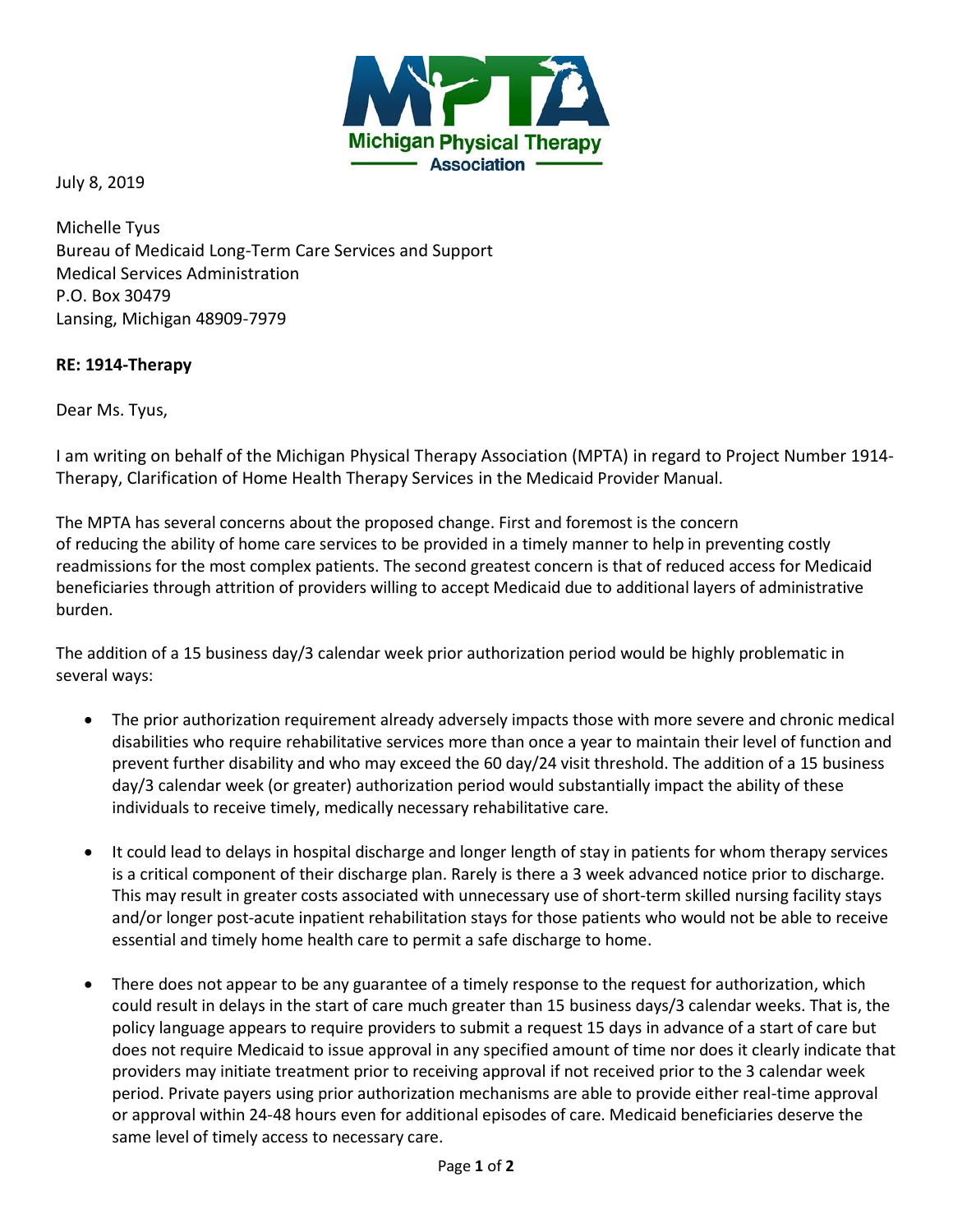

July 8, 2019

Michelle Tyus Bureau of Medicaid Long-Term Care Services and Support Medical Services Administration P.O. Box 30479 Lansing, Michigan 48909-7979

## **RE: 1914-Therapy**

Dear Ms. Tyus,

I am writing on behalf of the Michigan Physical Therapy Association (MPTA) in regard to Project Number 1914- Therapy, Clarification of Home Health Therapy Services in the Medicaid Provider Manual.

The MPTA has several concerns about the proposed change. First and foremost is the concern of reducing the ability of home care services to be provided in a timely manner to help in preventing costly readmissions for the most complex patients. The second greatest concern is that of reduced access for Medicaid beneficiaries through attrition of providers willing to accept Medicaid due to additional layers of administrative burden.

The addition of a 15 business day/3 calendar week prior authorization period would be highly problematic in several ways:

- The prior authorization requirement already adversely impacts those with more severe and chronic medical disabilities who require rehabilitative services more than once a year to maintain their level of function and prevent further disability and who may exceed the 60 day/24 visit threshold. The addition of a 15 business day/3 calendar week (or greater) authorization period would substantially impact the ability of these individuals to receive timely, medically necessary rehabilitative care.
- It could lead to delays in hospital discharge and longer length of stay in patients for whom therapy services is a critical component of their discharge plan. Rarely is there a 3 week advanced notice prior to discharge. This may result in greater costs associated with unnecessary use of short-term skilled nursing facility stays and/or longer post-acute inpatient rehabilitation stays for those patients who would not be able to receive essential and timely home health care to permit a safe discharge to home.
- There does not appear to be any guarantee of a timely response to the request for authorization, which could result in delays in the start of care much greater than 15 business days/3 calendar weeks. That is, the policy language appears to require providers to submit a request 15 days in advance of a start of care but does not require Medicaid to issue approval in any specified amount of time nor does it clearly indicate that providers may initiate treatment prior to receiving approval if not received prior to the 3 calendar week period. Private payers using prior authorization mechanisms are able to provide either real-time approval or approval within 24-48 hours even for additional episodes of care. Medicaid beneficiaries deserve the same level of timely access to necessary care.